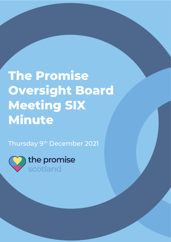## **The Promise Oversight Board Meeting SIX Minute**

The Promise Oversight Board Meeting FIVE

Thursday 9<sup>th</sup> December 2021

the promise scotland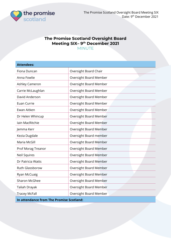

## **The Promise Scotland Oversight Board Meeting SIX– 9 th December 2021** MINUTE

| <b>Attendees:</b>                        |                        |  |  |  |
|------------------------------------------|------------------------|--|--|--|
| Fiona Duncan                             | Oversight Board Chair  |  |  |  |
| Anna Fowlie                              | Oversight Board Member |  |  |  |
| Ashley Cameron                           | Oversight Board Member |  |  |  |
| Carrie McLaughlan                        | Oversight Board Member |  |  |  |
| David Anderson                           | Oversight Board Member |  |  |  |
| Euan Currie                              | Oversight Board Member |  |  |  |
| Ewan Aitken                              | Oversight Board Member |  |  |  |
| Dr Helen Whincup                         | Oversight Board Member |  |  |  |
| Iain MacRitchie                          | Oversight Board Member |  |  |  |
| Jemma Kerr                               | Oversight Board Member |  |  |  |
| Kezia Dugdale                            | Oversight Board member |  |  |  |
| Maria McGill                             | Oversight Board Member |  |  |  |
| Prof Morag Treanor                       | Oversight Board Member |  |  |  |
| Neil Squires                             | Oversight Board Member |  |  |  |
| Dr Patricia Watts                        | Oversight Board Member |  |  |  |
| Ruth Glassborow                          | Oversight Board Member |  |  |  |
| Ryan McCuaig                             | Oversight Board Member |  |  |  |
| <b>Sharon McGhee</b>                     | Oversight Board Member |  |  |  |
| Taliah Drayak                            | Oversight Board Member |  |  |  |
| <b>Tracey McFall</b>                     | Oversight Board Member |  |  |  |
| In attendance from The Promise Scotland: |                        |  |  |  |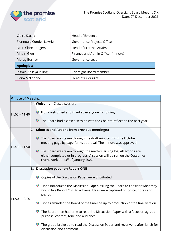

| <b>Claire Stuart</b>     | Head of Evidence                   |  |  |
|--------------------------|------------------------------------|--|--|
| Fionnuala Contier-Lawrie | Governance Projects Officer        |  |  |
| Mairi Clare Rodgers      | <b>Head of External Affairs</b>    |  |  |
| Mhairi Glen              | Finance and Admin Officer (minute) |  |  |
| Morag Burnett            | Governance Lead                    |  |  |
| <b>Apologies:</b>        |                                    |  |  |
| Jasmin-Kasaya Pilling    | Oversight Board Member             |  |  |
| Fiona McFarlane          | Head of Oversight                  |  |  |

| <b>Minute of Meeting:</b> |                                                                                                                                                                                                            |
|---------------------------|------------------------------------------------------------------------------------------------------------------------------------------------------------------------------------------------------------|
|                           | 1. Welcome - Closed session.                                                                                                                                                                               |
| $11:00 - 11:40$           | ◆ Fiona welcomed and thanked everyone for joining.                                                                                                                                                         |
|                           | The Board had a closed session with the Chair to reflect on the past year.                                                                                                                                 |
|                           | <b>Minutes and Actions from previous meeting(s)</b><br>2.                                                                                                                                                  |
| $11.40 - 11:50$           | $\bullet$ The Board was taken through the draft minute from the October<br>meeting page by page for its approval. The minute was approved.                                                                 |
|                           | $\bullet$ The Board was taken through the matters arising log. All actions are<br>either completed or in progress. A session will be run on the Outcomes<br>Framework on 13 <sup>th</sup> of January 2022. |
|                           | <b>Discussion paper on Report ONE</b><br>3.                                                                                                                                                                |
|                           | Copies of the Discussion Paper were distributed                                                                                                                                                            |
| $11.50 - 13:00$           | ◆ Fiona introduced the Discussion Paper, asking the Board to consider what they<br>would like Report ONE to achieve. Ideas were captured on post-it notes and<br>shared.                                   |
|                           | Fiona reminded the Board of the timeline up to production of the final version.                                                                                                                            |
|                           | The Board then had time to read the Discussion Paper with a focus on agreed<br>purpose, content, tone and audience.                                                                                        |
|                           | The group broke up to read the Discussion Paper and reconvene after lunch for<br>discussion and comment.                                                                                                   |